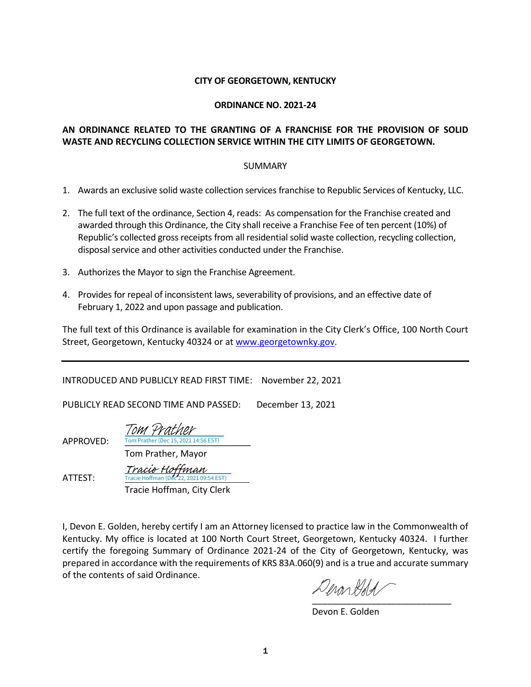#### **CITY OF GEORGETOWN, KENTUCKY**

#### **ORDINANCE NO. 2021-24**

### **AN ORDINANCE RELATED TO THE GRANTING OF A FRANCHISE FOR THE PROVISION OF SOLID WASTE AND RECYCLING COLLECTION SERVICE WITHIN THE CITY LIMITS OF GEORGETOWN.**

#### SUMMARY

- 1. Awards an exclusive solid waste collection services franchise to Republic Services of Kentucky, LLC.
- 2. The full text of the ordinance, Section 4, reads: As compensation for the Franchise created and awarded through this Ordinance, the City shall receive a Franchise Fee of ten percent (10%) of Republic's collected gross receipts from all residential solid waste collection, recycling collection, disposal service and other activities conducted under the Franchise.
- 3. Authorizes the Mayor to sign the Franchise Agreement.
- 4. Provides for repeal of inconsistent laws, severability of provisions, and an effective date of February 1, 2022 and upon passage and publication.

The full text of this Ordinance is available for examination in the City Clerk's Office, 100 North Court Street, Georgetown, Kentucky 40324 or a[t www.georgetownky.gov.](http://www.georgetownky.gov/)

INTRODUCED AND PUBLICLY READ FIRST TIME: November 22, 2021

PUBLICLY READ SECOND TIME AND PASSED: December 13, 2021

APPROVED: Tom Prather (Dec 15, 2021 14:56 EST) Tom Prather, Mayor [Tom Prather](https://na1.documents.adobe.com/verifier?tx=CBJCHBCAABAAF8wJLYWokXpm-fFGIdHTgA-2pDZMwxmY)

ATTEST:

 Tracie Hoffman, City Clerk cie Hoffman (Dec 22, 2021 09:54 EST) [Tracie Hoffman](https://na1.documents.adobe.com/verifier?tx=CBJCHBCAABAAF8wJLYWokXpm-fFGIdHTgA-2pDZMwxmY)

I, Devon E. Golden, hereby certify I am an Attorney licensed to practice law in the Commonwealth of Kentucky. My office is located at 100 North Court Street, Georgetown, Kentucky 40324. I further certify the foregoing Summary of Ordinance 2021-24 of the City of Georgetown, Kentucky, was prepared in accordance with the requirements of KRS 83A.060(9) and is a true and accurate summary of the contents of said Ordinance.

[\\_\\_\\_\\_\\_\\_\\_\\_\\_\\_\\_\\_\\_\\_\\_\\_\\_\\_\\_\\_\\_\\_\\_\\_\\_\\_\\_\\_](https://adobefreeuserschannel.na1.documents.adobe.com/verifier?tx=CBJCHBCAABAAF8wJLYWokXpm-fFGIdHTgA-2pDZMwxmY)

Devon E. Golden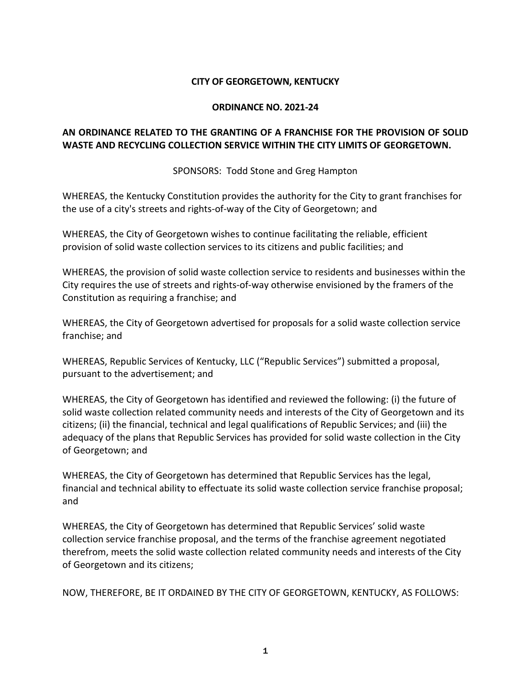### **CITY OF GEORGETOWN, KENTUCKY**

#### **ORDINANCE NO. 2021-24**

## **AN ORDINANCE RELATED TO THE GRANTING OF A FRANCHISE FOR THE PROVISION OF SOLID WASTE AND RECYCLING COLLECTION SERVICE WITHIN THE CITY LIMITS OF GEORGETOWN.**

SPONSORS: Todd Stone and Greg Hampton

WHEREAS, the Kentucky Constitution provides the authority for the City to grant franchises for the use of a city's streets and rights-of-way of the City of Georgetown; and

WHEREAS, the City of Georgetown wishes to continue facilitating the reliable, efficient provision of solid waste collection services to its citizens and public facilities; and

WHEREAS, the provision of solid waste collection service to residents and businesses within the City requires the use of streets and rights-of-way otherwise envisioned by the framers of the Constitution as requiring a franchise; and

WHEREAS, the City of Georgetown advertised for proposals for a solid waste collection service franchise; and

WHEREAS, Republic Services of Kentucky, LLC ("Republic Services") submitted a proposal, pursuant to the advertisement; and

WHEREAS, the City of Georgetown has identified and reviewed the following: (i) the future of solid waste collection related community needs and interests of the City of Georgetown and its citizens; (ii) the financial, technical and legal qualifications of Republic Services; and (iii) the adequacy of the plans that Republic Services has provided for solid waste collection in the City of Georgetown; and

WHEREAS, the City of Georgetown has determined that Republic Services has the legal, financial and technical ability to effectuate its solid waste collection service franchise proposal; and

WHEREAS, the City of Georgetown has determined that Republic Services' solid waste collection service franchise proposal, and the terms of the franchise agreement negotiated therefrom, meets the solid waste collection related community needs and interests of the City of Georgetown and its citizens;

NOW, THEREFORE, BE IT ORDAINED BY THE CITY OF GEORGETOWN, KENTUCKY, AS FOLLOWS: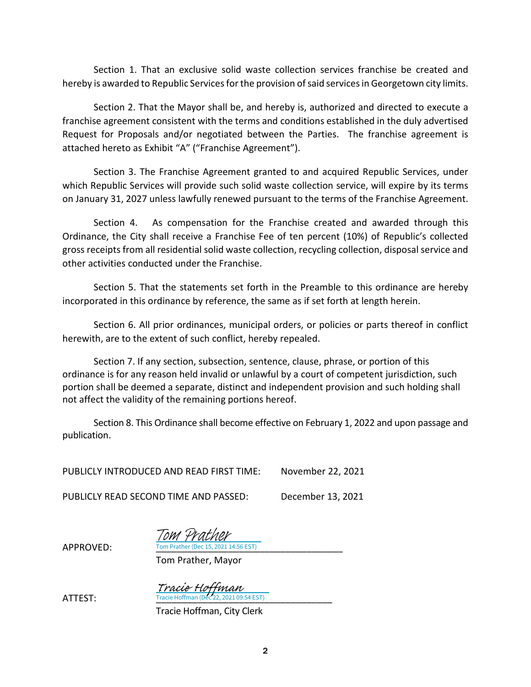Section 1. That an exclusive solid waste collection services franchise be created and hereby is awarded to Republic Services for the provision of said services in Georgetown city limits.

Section 2. That the Mayor shall be, and hereby is, authorized and directed to execute a franchise agreement consistent with the terms and conditions established in the duly advertised Request for Proposals and/or negotiated between the Parties. The franchise agreement is attached hereto as Exhibit "A" ("Franchise Agreement").

Section 3. The Franchise Agreement granted to and acquired Republic Services, under which Republic Services will provide such solid waste collection service, will expire by its terms on January 31, 2027 unless lawfully renewed pursuant to the terms of the Franchise Agreement.

Section 4. As compensation for the Franchise created and awarded through this Ordinance, the City shall receive a Franchise Fee of ten percent (10%) of Republic's collected gross receipts from all residential solid waste collection, recycling collection, disposal service and other activities conducted under the Franchise.

Section 5. That the statements set forth in the Preamble to this ordinance are hereby incorporated in this ordinance by reference, the same as if set forth at length herein.

Section 6. All prior ordinances, municipal orders, or policies or parts thereof in conflict herewith, are to the extent of such conflict, hereby repealed.

Section 7. If any section, subsection, sentence, clause, phrase, or portion of this ordinance is for any reason held invalid or unlawful by a court of competent jurisdiction, such portion shall be deemed a separate, distinct and independent provision and such holding shall not affect the validity of the remaining portions hereof.

Section 8. This Ordinance shall become effective on February 1, 2022 and upon passage and publication.

PUBLICLY INTRODUCED AND READ FIRST TIME: November 22, 2021

PUBLICLY READ SECOND TIME AND PASSED: December 13, 2021

APPROVED: Tom Prather (Dec 15, 2021 14:56 EST) Tom Prather

Tom Prather, Mayor

**ATTEST:** Tracie Hoffman (Dec 22, 2021 09:54 EST) Tracie Hoffman<br>Tracie Hoffman (Dec 22, 2021 09:54 EST)

Tracie Hoffman, City Clerk